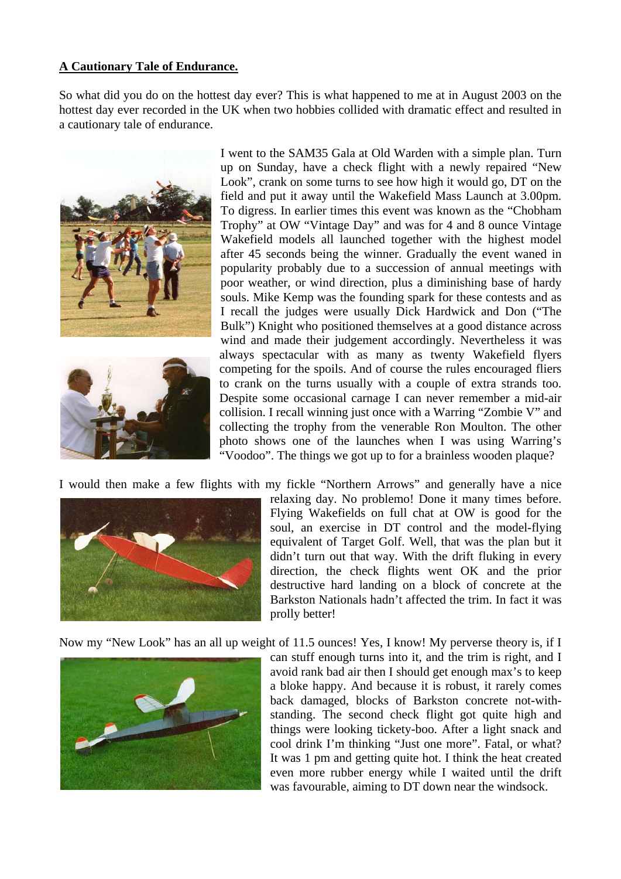## **A Cautionary Tale of Endurance.**

So what did you do on the hottest day ever? This is what happened to me at in August 2003 on the hottest day ever recorded in the UK when two hobbies collided with dramatic effect and resulted in a cautionary tale of endurance.





I went to the SAM35 Gala at Old Warden with a simple plan. Turn up on Sunday, have a check flight with a newly repaired "New Look", crank on some turns to see how high it would go, DT on the field and put it away until the Wakefield Mass Launch at 3.00pm. To digress. In earlier times this event was known as the "Chobham Trophy" at OW "Vintage Day" and was for 4 and 8 ounce Vintage Wakefield models all launched together with the highest model after 45 seconds being the winner. Gradually the event waned in popularity probably due to a succession of annual meetings with poor weather, or wind direction, plus a diminishing base of hardy souls. Mike Kemp was the founding spark for these contests and as I recall the judges were usually Dick Hardwick and Don ("The Bulk") Knight who positioned themselves at a good distance across wind and made their judgement accordingly. Nevertheless it was always spectacular with as many as twenty Wakefield flyers competing for the spoils. And of course the rules encouraged fliers to crank on the turns usually with a couple of extra strands too. Despite some occasional carnage I can never remember a mid-air collision. I recall winning just once with a Warring "Zombie V" and collecting the trophy from the venerable Ron Moulton. The other photo shows one of the launches when I was using Warring's "Voodoo". The things we got up to for a brainless wooden plaque?

I would then make a few flights with my fickle "Northern Arrows" and generally have a nice



relaxing day. No problemo! Done it many times before. Flying Wakefields on full chat at OW is good for the soul, an exercise in DT control and the model-flying equivalent of Target Golf. Well, that was the plan but it didn't turn out that way. With the drift fluking in every direction, the check flights went OK and the prior destructive hard landing on a block of concrete at the Barkston Nationals hadn't affected the trim. In fact it was prolly better!

Now my "New Look" has an all up weight of 11.5 ounces! Yes, I know! My perverse theory is, if I



can stuff enough turns into it, and the trim is right, and I avoid rank bad air then I should get enough max's to keep a bloke happy. And because it is robust, it rarely comes back damaged, blocks of Barkston concrete not-withstanding. The second check flight got quite high and things were looking tickety-boo. After a light snack and cool drink I'm thinking "Just one more". Fatal, or what? It was 1 pm and getting quite hot. I think the heat created even more rubber energy while I waited until the drift was favourable, aiming to DT down near the windsock.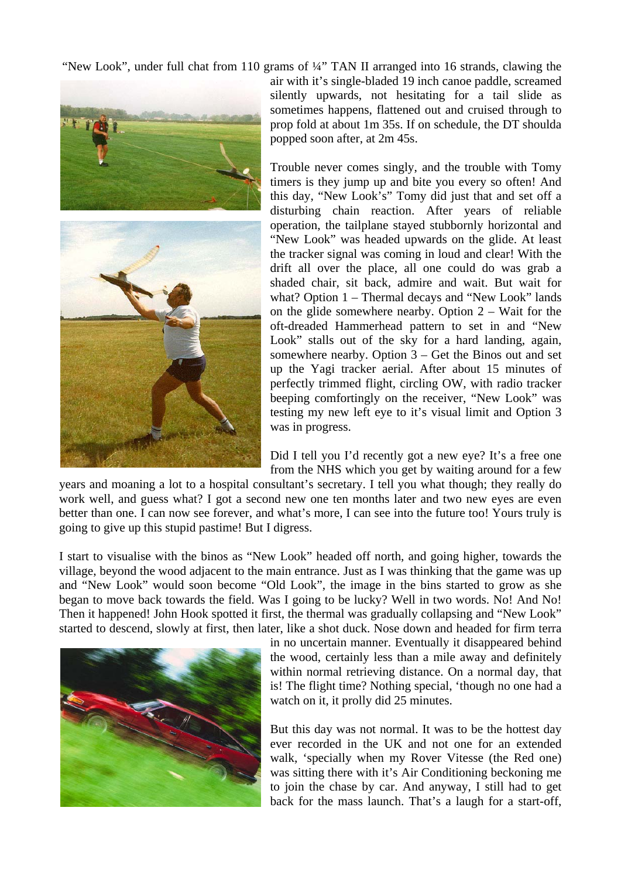"New Look", under full chat from 110 grams of ¼" TAN II arranged into 16 strands, clawing the



air with it's single-bladed 19 inch canoe paddle, screamed silently upwards, not hesitating for a tail slide as sometimes happens, flattened out and cruised through to prop fold at about 1m 35s. If on schedule, the DT shoulda popped soon after, at 2m 45s.

Trouble never comes singly, and the trouble with Tomy timers is they jump up and bite you every so often! And this day, "New Look's" Tomy did just that and set off a disturbing chain reaction. After years of reliable operation, the tailplane stayed stubbornly horizontal and "New Look" was headed upwards on the glide. At least the tracker signal was coming in loud and clear! With the drift all over the place, all one could do was grab a shaded chair, sit back, admire and wait. But wait for what? Option 1 – Thermal decays and "New Look" lands on the glide somewhere nearby. Option  $2 -$  Wait for the oft-dreaded Hammerhead pattern to set in and "New Look" stalls out of the sky for a hard landing, again, somewhere nearby. Option 3 – Get the Binos out and set up the Yagi tracker aerial. After about 15 minutes of perfectly trimmed flight, circling OW, with radio tracker beeping comfortingly on the receiver, "New Look" was testing my new left eye to it's visual limit and Option 3 was in progress.

Did I tell you I'd recently got a new eye? It's a free one from the NHS which you get by waiting around for a few

years and moaning a lot to a hospital consultant's secretary. I tell you what though; they really do work well, and guess what? I got a second new one ten months later and two new eyes are even better than one. I can now see forever, and what's more, I can see into the future too! Yours truly is going to give up this stupid pastime! But I digress.

I start to visualise with the binos as "New Look" headed off north, and going higher, towards the village, beyond the wood adjacent to the main entrance. Just as I was thinking that the game was up and "New Look" would soon become "Old Look", the image in the bins started to grow as she began to move back towards the field. Was I going to be lucky? Well in two words. No! And No! Then it happened! John Hook spotted it first, the thermal was gradually collapsing and "New Look" started to descend, slowly at first, then later, like a shot duck. Nose down and headed for firm terra



in no uncertain manner. Eventually it disappeared behind the wood, certainly less than a mile away and definitely within normal retrieving distance. On a normal day, that is! The flight time? Nothing special, 'though no one had a watch on it, it prolly did 25 minutes.

But this day was not normal. It was to be the hottest day ever recorded in the UK and not one for an extended walk, 'specially when my Rover Vitesse (the Red one) was sitting there with it's Air Conditioning beckoning me to join the chase by car. And anyway, I still had to get back for the mass launch. That's a laugh for a start-off,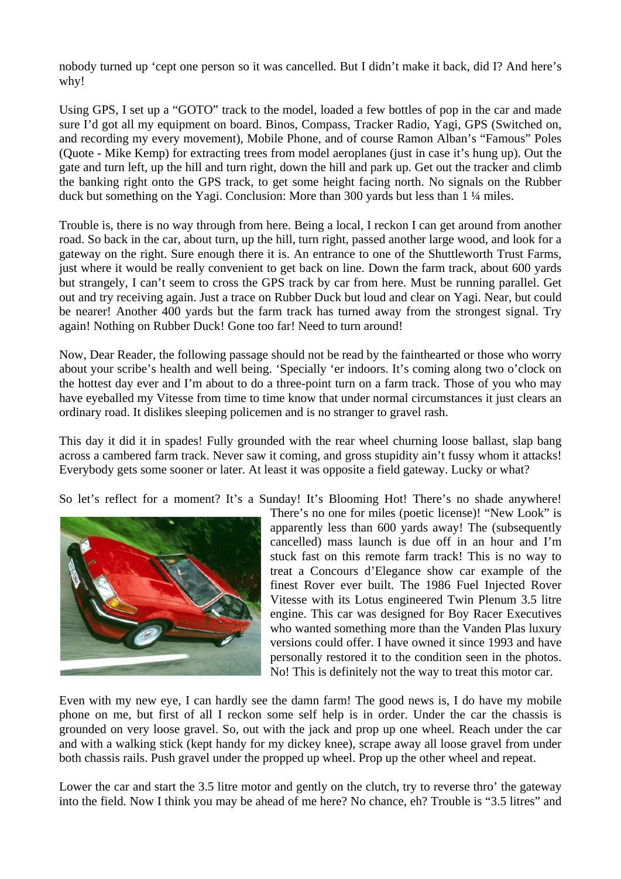nobody turned up 'cept one person so it was cancelled. But I didn't make it back, did I? And here's why!

Using GPS, I set up a "GOTO" track to the model, loaded a few bottles of pop in the car and made sure I'd got all my equipment on board. Binos, Compass, Tracker Radio, Yagi, GPS (Switched on, and recording my every movement), Mobile Phone, and of course Ramon Alban's "Famous" Poles (Quote - Mike Kemp) for extracting trees from model aeroplanes (just in case it's hung up). Out the gate and turn left, up the hill and turn right, down the hill and park up. Get out the tracker and climb the banking right onto the GPS track, to get some height facing north. No signals on the Rubber duck but something on the Yagi. Conclusion: More than 300 yards but less than 1 ¼ miles.

Trouble is, there is no way through from here. Being a local, I reckon I can get around from another road. So back in the car, about turn, up the hill, turn right, passed another large wood, and look for a gateway on the right. Sure enough there it is. An entrance to one of the Shuttleworth Trust Farms, just where it would be really convenient to get back on line. Down the farm track, about 600 yards but strangely, I can't seem to cross the GPS track by car from here. Must be running parallel. Get out and try receiving again. Just a trace on Rubber Duck but loud and clear on Yagi. Near, but could be nearer! Another 400 yards but the farm track has turned away from the strongest signal. Try again! Nothing on Rubber Duck! Gone too far! Need to turn around!

Now, Dear Reader, the following passage should not be read by the fainthearted or those who worry about your scribe's health and well being. 'Specially 'er indoors. It's coming along two o'clock on the hottest day ever and I'm about to do a three-point turn on a farm track. Those of you who may have eyeballed my Vitesse from time to time know that under normal circumstances it just clears an ordinary road. It dislikes sleeping policemen and is no stranger to gravel rash.

This day it did it in spades! Fully grounded with the rear wheel churning loose ballast, slap bang across a cambered farm track. Never saw it coming, and gross stupidity ain't fussy whom it attacks! Everybody gets some sooner or later. At least it was opposite a field gateway. Lucky or what?

So let's reflect for a moment? It's a Sunday! It's Blooming Hot! There's no shade anywhere!



There's no one for miles (poetic license)! "New Look" is apparently less than 600 yards away! The (subsequently cancelled) mass launch is due off in an hour and I'm stuck fast on this remote farm track! This is no way to treat a Concours d'Elegance show car example of the finest Rover ever built. The 1986 Fuel Injected Rover Vitesse with its Lotus engineered Twin Plenum 3.5 litre engine. This car was designed for Boy Racer Executives who wanted something more than the Vanden Plas luxury versions could offer. I have owned it since 1993 and have personally restored it to the condition seen in the photos. No! This is definitely not the way to treat this motor car.

Even with my new eye, I can hardly see the damn farm! The good news is, I do have my mobile phone on me, but first of all I reckon some self help is in order. Under the car the chassis is grounded on very loose gravel. So, out with the jack and prop up one wheel. Reach under the car and with a walking stick (kept handy for my dickey knee), scrape away all loose gravel from under both chassis rails. Push gravel under the propped up wheel. Prop up the other wheel and repeat.

Lower the car and start the 3.5 litre motor and gently on the clutch, try to reverse thro' the gateway into the field. Now I think you may be ahead of me here? No chance, eh? Trouble is "3.5 litres" and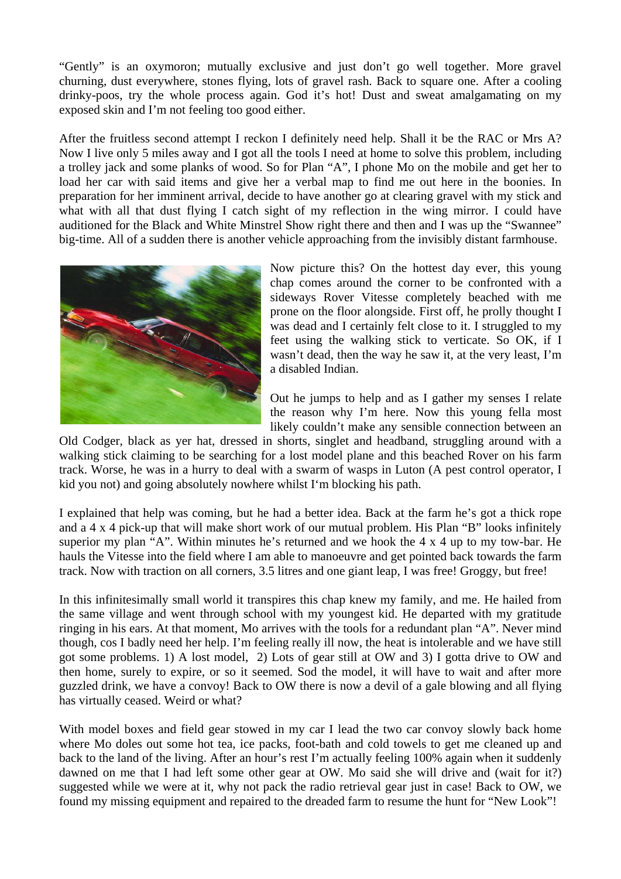"Gently" is an oxymoron; mutually exclusive and just don't go well together. More gravel churning, dust everywhere, stones flying, lots of gravel rash. Back to square one. After a cooling drinky-poos, try the whole process again. God it's hot! Dust and sweat amalgamating on my exposed skin and I'm not feeling too good either.

After the fruitless second attempt I reckon I definitely need help. Shall it be the RAC or Mrs A? Now I live only 5 miles away and I got all the tools I need at home to solve this problem, including a trolley jack and some planks of wood. So for Plan "A", I phone Mo on the mobile and get her to load her car with said items and give her a verbal map to find me out here in the boonies. In preparation for her imminent arrival, decide to have another go at clearing gravel with my stick and what with all that dust flying I catch sight of my reflection in the wing mirror. I could have auditioned for the Black and White Minstrel Show right there and then and I was up the "Swannee" big-time. All of a sudden there is another vehicle approaching from the invisibly distant farmhouse.



Now picture this? On the hottest day ever, this young chap comes around the corner to be confronted with a sideways Rover Vitesse completely beached with me prone on the floor alongside. First off, he prolly thought I was dead and I certainly felt close to it. I struggled to my feet using the walking stick to verticate. So OK, if I wasn't dead, then the way he saw it, at the very least, I'm a disabled Indian.

Out he jumps to help and as I gather my senses I relate the reason why I'm here. Now this young fella most likely couldn't make any sensible connection between an

Old Codger, black as yer hat, dressed in shorts, singlet and headband, struggling around with a walking stick claiming to be searching for a lost model plane and this beached Rover on his farm track. Worse, he was in a hurry to deal with a swarm of wasps in Luton (A pest control operator, I kid you not) and going absolutely nowhere whilst I'm blocking his path.

I explained that help was coming, but he had a better idea. Back at the farm he's got a thick rope and a 4 x 4 pick-up that will make short work of our mutual problem. His Plan "B" looks infinitely superior my plan "A". Within minutes he's returned and we hook the 4 x 4 up to my tow-bar. He hauls the Vitesse into the field where I am able to manoeuvre and get pointed back towards the farm track. Now with traction on all corners, 3.5 litres and one giant leap, I was free! Groggy, but free!

In this infinitesimally small world it transpires this chap knew my family, and me. He hailed from the same village and went through school with my youngest kid. He departed with my gratitude ringing in his ears. At that moment, Mo arrives with the tools for a redundant plan "A". Never mind though, cos I badly need her help. I'm feeling really ill now, the heat is intolerable and we have still got some problems. 1) A lost model, 2) Lots of gear still at OW and 3) I gotta drive to OW and then home, surely to expire, or so it seemed. Sod the model, it will have to wait and after more guzzled drink, we have a convoy! Back to OW there is now a devil of a gale blowing and all flying has virtually ceased. Weird or what?

With model boxes and field gear stowed in my car I lead the two car convoy slowly back home where Mo doles out some hot tea, ice packs, foot-bath and cold towels to get me cleaned up and back to the land of the living. After an hour's rest I'm actually feeling 100% again when it suddenly dawned on me that I had left some other gear at OW. Mo said she will drive and (wait for it?) suggested while we were at it, why not pack the radio retrieval gear just in case! Back to OW, we found my missing equipment and repaired to the dreaded farm to resume the hunt for "New Look"!